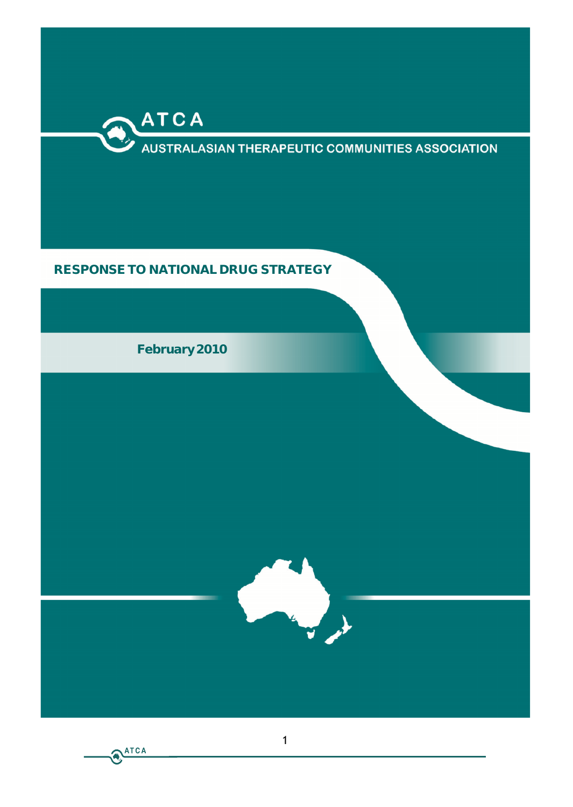

# **AUSTRALASIAN THERAPEUTIC COMMUNITIES ASSOCIATION**

# **RESPONSE TO NATIONAL DRUG STRATEGY**

**February 2010**



ATCA

1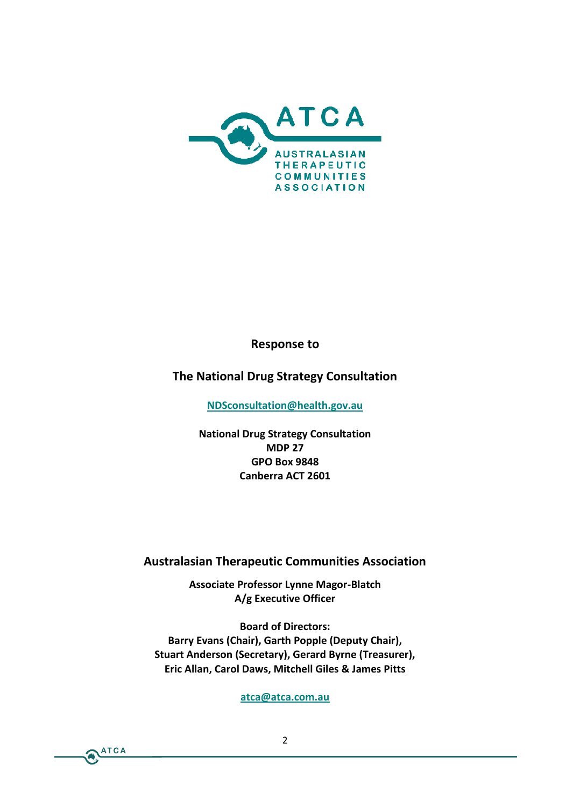# $R$ espon $\infty$ e

The National Drug Strategy Consultation

[NDSconsultation@h](mailto:NDSconsultation@health.gov.au)ealth.gov.au

National Drug Strategy Consultation MDP<sub>27</sub> GPO Box 9848 Canberra ACT 2601

Australasian Therapeitities **Association** 

Associate Professor-BLI gator Magor A/g Executive Officer

Board of Directors: Barry Evans (Chair), Garth Popple (Deputy Chair Stuart Anderson (Secretary), Gerard Byrne (Treasure Eric All Garol Daws, Mitchellit Gsles & James P

[atca@atca.](mailto:atca@atca.com.au)com.au

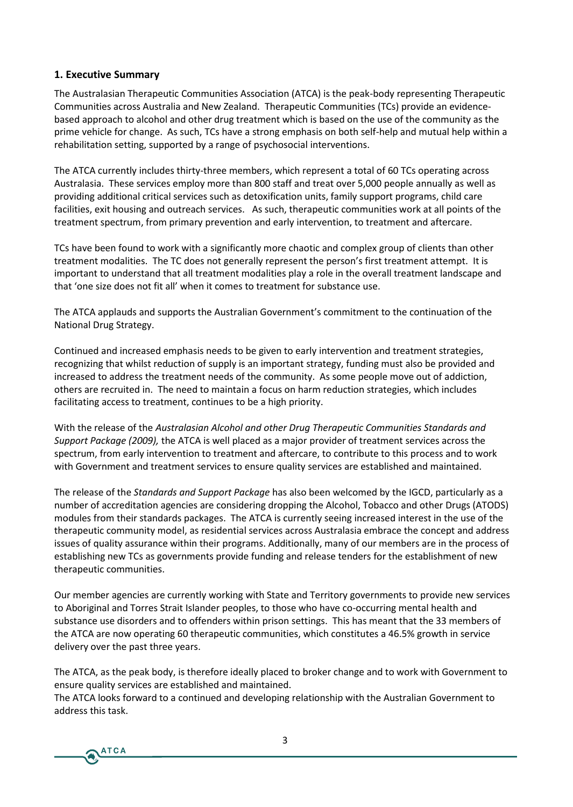#### **1. Executive Summary**

The Australasian Therapeutic Communities Association (ATCA) is the peak-body representing Therapeutic Communities across Australia and New Zealand. Therapeutic Communities (TCs) provide an evidencebased approach to alcohol and other drug treatment which is based on the use of the community as the prime vehicle for change. As such, TCs have a strong emphasis on both self-help and mutual help within a rehabilitation setting, supported by a range of psychosocial interventions.

The ATCA currently includes thirty-three members, which represent a total of 60 TCs operating across Australasia. These services employ more than 800 staff and treat over 5,000 people annually as well as providing additional critical services such as detoxification units, family support programs, child care facilities, exit housing and outreach services. As such, therapeutic communities work at all points of the treatment spectrum, from primary prevention and early intervention, to treatment and aftercare.

TCs have been found to work with a significantly more chaotic and complex group of clients than other treatment modalities. The TC does not generally represent the person's first treatment attempt. It is important to understand that all treatment modalities play a role in the overall treatment landscape and that 'one size does not fit all' when it comes to treatment for substance use.

The ATCA applauds and supports the Australian Government's commitment to the continuation of the National Drug Strategy.

Continued and increased emphasis needs to be given to early intervention and treatment strategies, recognizing that whilst reduction of supply is an important strategy, funding must also be provided and increased to address the treatment needs of the community. As some people move out of addiction, others are recruited in. The need to maintain a focus on harm reduction strategies, which includes facilitating access to treatment, continues to be a high priority.

With the release of the *Australasian Alcohol and other Drug Therapeutic Communities Standards and Support Package (2009),* the ATCA is well placed as a major provider of treatment services across the spectrum, from early intervention to treatment and aftercare, to contribute to this process and to work with Government and treatment services to ensure quality services are established and maintained.

The release of the *Standards and Support Package* has also been welcomed by the IGCD, particularly as a number of accreditation agencies are considering dropping the Alcohol, Tobacco and other Drugs (ATODS) modules from their standards packages. The ATCA is currently seeing increased interest in the use of the therapeutic community model, as residential services across Australasia embrace the concept and address issues of quality assurance within their programs. Additionally, many of our members are in the process of establishing new TCs as governments provide funding and release tenders for the establishment of new therapeutic communities.

Our member agencies are currently working with State and Territory governments to provide new services to Aboriginal and Torres Strait Islander peoples, to those who have co-occurring mental health and substance use disorders and to offenders within prison settings. This has meant that the 33 members of the ATCA are now operating 60 therapeutic communities, which constitutes a 46.5% growth in service delivery over the past three years.

The ATCA, as the peak body, is therefore ideally placed to broker change and to work with Government to ensure quality services are established and maintained.

The ATCA looks forward to a continued and developing relationship with the Australian Government to address this task.

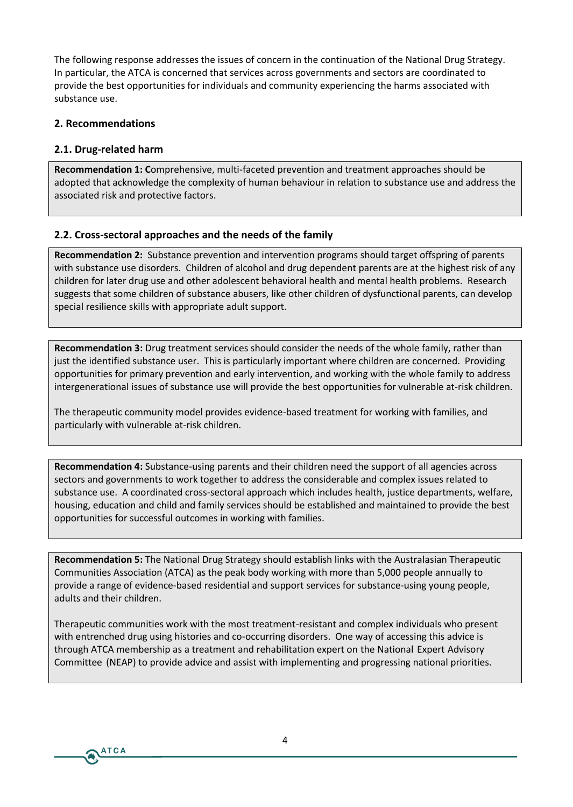The following response addresses the issues of concern in the continuation of the National Drug Strategy. In particular, the ATCA is concerned that services across governments and sectors are coordinated to provide the best opportunities for individuals and community experiencing the harms associated with substance use.

#### **2. Recommendations**

#### **2.1. Drug-related harm**

**ATCA** 

**Recommendation 1: C**omprehensive, multi-faceted prevention and treatment approaches should be adopted that acknowledge the complexity of human behaviour in relation to substance use and address the associated risk and protective factors.

#### **2.2. Cross-sectoral approaches and the needs of the family**

**Recommendation 2:** Substance prevention and intervention programs should target offspring of parents with substance use disorders. Children of alcohol and drug dependent parents are at the highest risk of any children for later drug use and other adolescent behavioral health and mental health problems. Research suggests that some children of substance abusers, like other children of dysfunctional parents, can develop special resilience skills with appropriate adult support.

**Recommendation 3:** Drug treatment services should consider the needs of the whole family, rather than just the identified substance user. This is particularly important where children are concerned. Providing opportunities for primary prevention and early intervention, and working with the whole family to address intergenerational issues of substance use will provide the best opportunities for vulnerable at-risk children.

The therapeutic community model provides evidence-based treatment for working with families, and particularly with vulnerable at-risk children.

**Recommendation 4:** Substance-using parents and their children need the support of all agencies across sectors and governments to work together to address the considerable and complex issues related to substance use. A coordinated cross-sectoral approach which includes health, justice departments, welfare, housing, education and child and family services should be established and maintained to provide the best opportunities for successful outcomes in working with families.

**Recommendation 5:** The National Drug Strategy should establish links with the Australasian Therapeutic Communities Association (ATCA) as the peak body working with more than 5,000 people annually to provide a range of evidence-based residential and support services for substance-using young people, adults and their children.

Therapeutic communities work with the most treatment-resistant and complex individuals who present with entrenched drug using histories and co-occurring disorders. One way of accessing this advice is through ATCA membership as a treatment and rehabilitation expert on the National Expert Advisory Committee (NEAP) to provide advice and assist with implementing and progressing national priorities.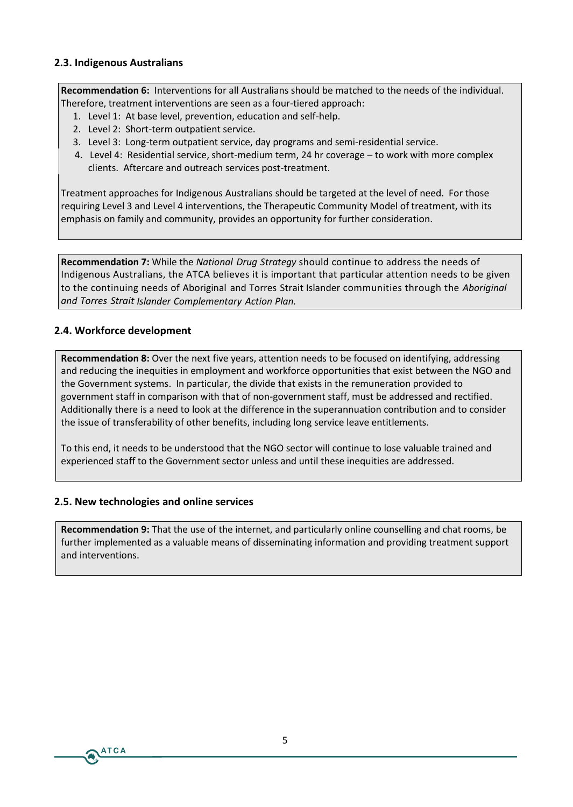#### **2.3. Indigenous Australians**

**Recommendation 6:** Interventions for all Australians should be matched to the needs of the individual. Therefore, treatment interventions are seen as a four-tiered approach:

- 1. Level 1: At base level, prevention, education and self-help.
- 2. Level 2: Short-term outpatient service.
- 3. Level 3: Long-term outpatient service, day programs and semi-residential service.
- 4. Level 4: Residential service, short-medium term, 24 hr coverage to work with more complex clients. Aftercare and outreach services post-treatment.

Treatment approaches for Indigenous Australians should be targeted at the level of need. For those requiring Level 3 and Level 4 interventions, the Therapeutic Community Model of treatment, with its emphasis on family and community, provides an opportunity for further consideration.

**Recommendation 7:** While the *National Drug Strategy* should continue to address the needs of Indigenous Australians, the ATCA believes it is important that particular attention needs to be given to the continuing needs of Aboriginal and Torres Strait Islander communities through the *Aboriginal and Torres Strait Islander Complementary Action Plan.*

# **2.4. Workforce development**

**Recommendation 8:** Over the next five years, attention needs to be focused on identifying, addressing and reducing the inequities in employment and workforce opportunities that exist between the NGO and the Government systems. In particular, the divide that exists in the remuneration provided to government staff in comparison with that of non-government staff, must be addressed and rectified. Additionally there is a need to look at the difference in the superannuation contribution and to consider the issue of transferability of other benefits, including long service leave entitlements.

To this end, it needs to be understood that the NGO sector will continue to lose valuable trained and experienced staff to the Government sector unless and until these inequities are addressed.

#### **2.5. New technologies and online services**

**ATCA** 

**Recommendation 9:** That the use of the internet, and particularly online counselling and chat rooms, be further implemented as a valuable means of disseminating information and providing treatment support and interventions.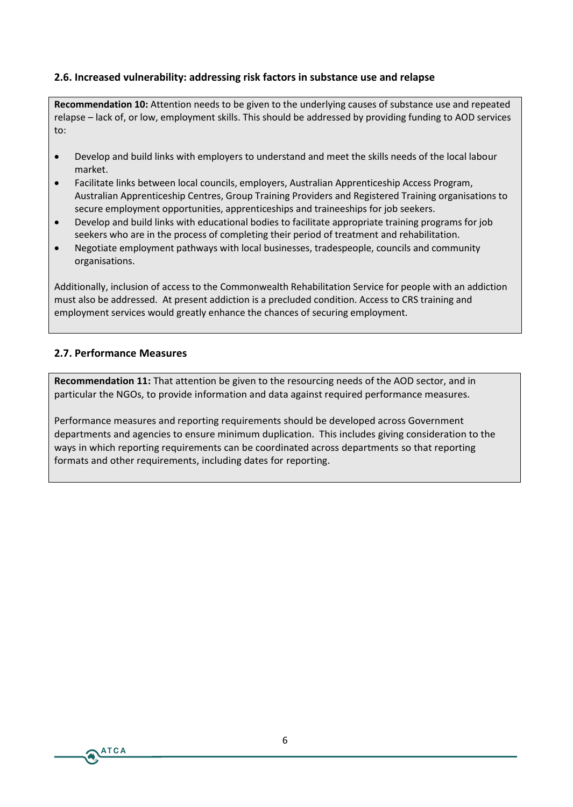# **2.6. Increased vulnerability: addressing risk factors in substance use and relapse**

**Recommendation 10:** Attention needs to be given to the underlying causes of substance use and repeated relapse – lack of, or low, employment skills. This should be addressed by providing funding to AOD services to:

- Develop and build links with employers to understand and meet the skills needs of the local labour market.
- Facilitate links between local councils, employers, Australian Apprenticeship Access Program, Australian Apprenticeship Centres, Group Training Providers and Registered Training organisations to secure employment opportunities, apprenticeships and traineeships for job seekers.
- Develop and build links with educational bodies to facilitate appropriate training programs for job seekers who are in the process of completing their period of treatment and rehabilitation.
- Negotiate employment pathways with local businesses, tradespeople, councils and community organisations.

Additionally, inclusion of access to the Commonwealth Rehabilitation Service for people with an addiction must also be addressed. At present addiction is a precluded condition. Access to CRS training and employment services would greatly enhance the chances of securing employment.

#### **2.7. Performance Measures**

**ATCA** 

**Recommendation 11:** That attention be given to the resourcing needs of the AOD sector, and in particular the NGOs, to provide information and data against required performance measures.

Performance measures and reporting requirements should be developed across Government departments and agencies to ensure minimum duplication. This includes giving consideration to the ways in which reporting requirements can be coordinated across departments so that reporting formats and other requirements, including dates for reporting.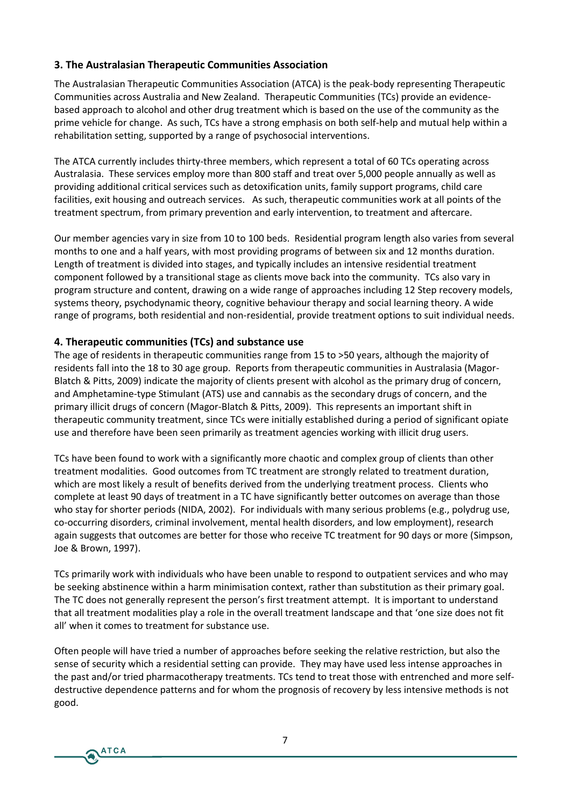# **3. The Australasian Therapeutic Communities Association**

The Australasian Therapeutic Communities Association (ATCA) is the peak-body representing Therapeutic Communities across Australia and New Zealand. Therapeutic Communities (TCs) provide an evidencebased approach to alcohol and other drug treatment which is based on the use of the community as the prime vehicle for change. As such, TCs have a strong emphasis on both self-help and mutual help within a rehabilitation setting, supported by a range of psychosocial interventions.

The ATCA currently includes thirty-three members, which represent a total of 60 TCs operating across Australasia. These services employ more than 800 staff and treat over 5,000 people annually as well as providing additional critical services such as detoxification units, family support programs, child care facilities, exit housing and outreach services. As such, therapeutic communities work at all points of the treatment spectrum, from primary prevention and early intervention, to treatment and aftercare.

Our member agencies vary in size from 10 to 100 beds. Residential program length also varies from several months to one and a half years, with most providing programs of between six and 12 months duration. Length of treatment is divided into stages, and typically includes an intensive residential treatment component followed by a transitional stage as clients move back into the community. TCs also vary in program structure and content, drawing on a wide range of approaches including 12 Step recovery models, systems theory, psychodynamic theory, cognitive behaviour therapy and social learning theory. A wide range of programs, both residential and non-residential, provide treatment options to suit individual needs.

# **4. Therapeutic communities (TCs) and substance use**

**ATCA** 

The age of residents in therapeutic communities range from 15 to >50 years, although the majority of residents fall into the 18 to 30 age group. Reports from therapeutic communities in Australasia (Magor-Blatch & Pitts, 2009) indicate the majority of clients present with alcohol as the primary drug of concern, and Amphetamine-type Stimulant (ATS) use and cannabis as the secondary drugs of concern, and the primary illicit drugs of concern (Magor-Blatch & Pitts, 2009). This represents an important shift in therapeutic community treatment, since TCs were initially established during a period of significant opiate use and therefore have been seen primarily as treatment agencies working with illicit drug users.

TCs have been found to work with a significantly more chaotic and complex group of clients than other treatment modalities. Good outcomes from TC treatment are strongly related to treatment duration, which are most likely a result of benefits derived from the underlying treatment process. Clients who complete at least 90 days of treatment in a TC have significantly better outcomes on average than those who stay for shorter periods (NIDA, 2002). For individuals with many serious problems (e.g., polydrug use, co-occurring disorders, criminal involvement, mental health disorders, and low employment), research again suggests that outcomes are better for those who receive TC treatment for 90 days or more (Simpson, Joe & Brown, 1997).

TCs primarily work with individuals who have been unable to respond to outpatient services and who may be seeking abstinence within a harm minimisation context, rather than substitution as their primary goal. The TC does not generally represent the person's first treatment attempt. It is important to understand that all treatment modalities play a role in the overall treatment landscape and that 'one size does not fit all' when it comes to treatment for substance use.

Often people will have tried a number of approaches before seeking the relative restriction, but also the sense of security which a residential setting can provide. They may have used less intense approaches in the past and/or tried pharmacotherapy treatments. TCs tend to treat those with entrenched and more selfdestructive dependence patterns and for whom the prognosis of recovery by less intensive methods is not good.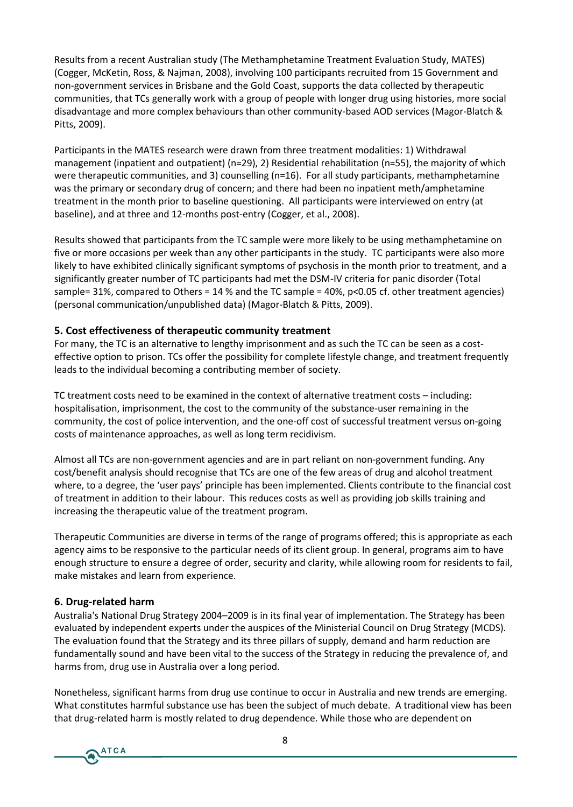Results from a recent Australian study (The Methamphetamine Treatment Evaluation Study, MATES) (Cogger, McKetin, Ross, & Najman, 2008), involving 100 participants recruited from 15 Government and non-government services in Brisbane and the Gold Coast, supports the data collected by therapeutic communities, that TCs generally work with a group of people with longer drug using histories, more social disadvantage and more complex behaviours than other community-based AOD services (Magor-Blatch & Pitts, 2009).

Participants in the MATES research were drawn from three treatment modalities: 1) Withdrawal management (inpatient and outpatient) (n=29), 2) Residential rehabilitation (n=55), the majority of which were therapeutic communities, and 3) counselling (n=16). For all study participants, methamphetamine was the primary or secondary drug of concern; and there had been no inpatient meth/amphetamine treatment in the month prior to baseline questioning. All participants were interviewed on entry (at baseline), and at three and 12-months post-entry (Cogger, et al., 2008).

Results showed that participants from the TC sample were more likely to be using methamphetamine on five or more occasions per week than any other participants in the study. TC participants were also more likely to have exhibited clinically significant symptoms of psychosis in the month prior to treatment, and a significantly greater number of TC participants had met the DSM-IV criteria for panic disorder (Total sample= 31%, compared to Others = 14 % and the TC sample = 40%, p<0.05 cf. other treatment agencies) (personal communication/unpublished data) (Magor-Blatch & Pitts, 2009).

# **5. Cost effectiveness of therapeutic community treatment**

For many, the TC is an alternative to lengthy imprisonment and as such the TC can be seen as a costeffective option to prison. TCs offer the possibility for complete lifestyle change, and treatment frequently leads to the individual becoming a contributing member of society.

TC treatment costs need to be examined in the context of alternative treatment costs – including: hospitalisation, imprisonment, the cost to the community of the substance-user remaining in the community, the cost of police intervention, and the one-off cost of successful treatment versus on-going costs of maintenance approaches, as well as long term recidivism.

Almost all TCs are non-government agencies and are in part reliant on non-government funding. Any cost/benefit analysis should recognise that TCs are one of the few areas of drug and alcohol treatment where, to a degree, the 'user pays' principle has been implemented. Clients contribute to the financial cost of treatment in addition to their labour. This reduces costs as well as providing job skills training and increasing the therapeutic value of the treatment program.

Therapeutic Communities are diverse in terms of the range of programs offered; this is appropriate as each agency aims to be responsive to the particular needs of its client group. In general, programs aim to have enough structure to ensure a degree of order, security and clarity, while allowing room for residents to fail, make mistakes and learn from experience.

#### **6. Drug-related harm**

Australia's National Drug Strategy 2004–2009 is in its final year of implementation. The Strategy has been evaluated by independent experts under the auspices of the Ministerial Council on Drug Strategy (MCDS). The evaluation found that the Strategy and its three pillars of supply, demand and harm reduction are fundamentally sound and have been vital to the success of the Strategy in reducing the prevalence of, and harms from, drug use in Australia over a long period.

Nonetheless, significant harms from drug use continue to occur in Australia and new trends are emerging. What constitutes harmful substance use has been the subject of much debate. A traditional view has been that drug-related harm is mostly related to drug dependence. While those who are dependent on

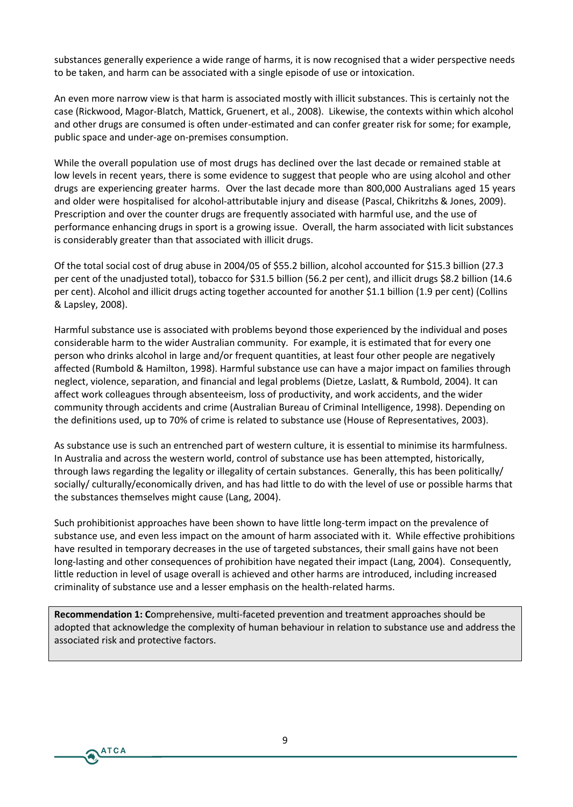substances generally experience a wide range of harms, it is now recognised that a wider perspective needs to be taken, and harm can be associated with a single episode of use or intoxication.

An even more narrow view is that harm is associated mostly with illicit substances. This is certainly not the case (Rickwood, Magor-Blatch, Mattick, Gruenert, et al., 2008). Likewise, the contexts within which alcohol and other drugs are consumed is often under-estimated and can confer greater risk for some; for example, public space and under-age on-premises consumption.

While the overall population use of most drugs has declined over the last decade or remained stable at low levels in recent years, there is some evidence to suggest that people who are using alcohol and other drugs are experiencing greater harms. Over the last decade more than 800,000 Australians aged 15 years and older were hospitalised for alcohol-attributable injury and disease (Pascal, Chikritzhs & Jones, 2009). Prescription and over the counter drugs are frequently associated with harmful use, and the use of performance enhancing drugs in sport is a growing issue. Overall, the harm associated with licit substances is considerably greater than that associated with illicit drugs.

Of the total social cost of drug abuse in 2004/05 of \$55.2 billion, alcohol accounted for \$15.3 billion (27.3 per cent of the unadjusted total), tobacco for \$31.5 billion (56.2 per cent), and illicit drugs \$8.2 billion (14.6 per cent). Alcohol and illicit drugs acting together accounted for another \$1.1 billion (1.9 per cent) (Collins & Lapsley, 2008).

Harmful substance use is associated with problems beyond those experienced by the individual and poses considerable harm to the wider Australian community. For example, it is estimated that for every one person who drinks alcohol in large and/or frequent quantities, at least four other people are negatively affected (Rumbold & Hamilton, 1998). Harmful substance use can have a major impact on families through neglect, violence, separation, and financial and legal problems (Dietze, Laslatt, & Rumbold, 2004). It can affect work colleagues through absenteeism, loss of productivity, and work accidents, and the wider community through accidents and crime (Australian Bureau of Criminal Intelligence, 1998). Depending on the definitions used, up to 70% of crime is related to substance use (House of Representatives, 2003).

As substance use is such an entrenched part of western culture, it is essential to minimise its harmfulness. In Australia and across the western world, control of substance use has been attempted, historically, through laws regarding the legality or illegality of certain substances. Generally, this has been politically/ socially/ culturally/economically driven, and has had little to do with the level of use or possible harms that the substances themselves might cause (Lang, 2004).

Such prohibitionist approaches have been shown to have little long-term impact on the prevalence of substance use, and even less impact on the amount of harm associated with it. While effective prohibitions have resulted in temporary decreases in the use of targeted substances, their small gains have not been long-lasting and other consequences of prohibition have negated their impact (Lang, 2004). Consequently, little reduction in level of usage overall is achieved and other harms are introduced, including increased criminality of substance use and a lesser emphasis on the health-related harms.

**Recommendation 1: C**omprehensive, multi-faceted prevention and treatment approaches should be adopted that acknowledge the complexity of human behaviour in relation to substance use and address the associated risk and protective factors.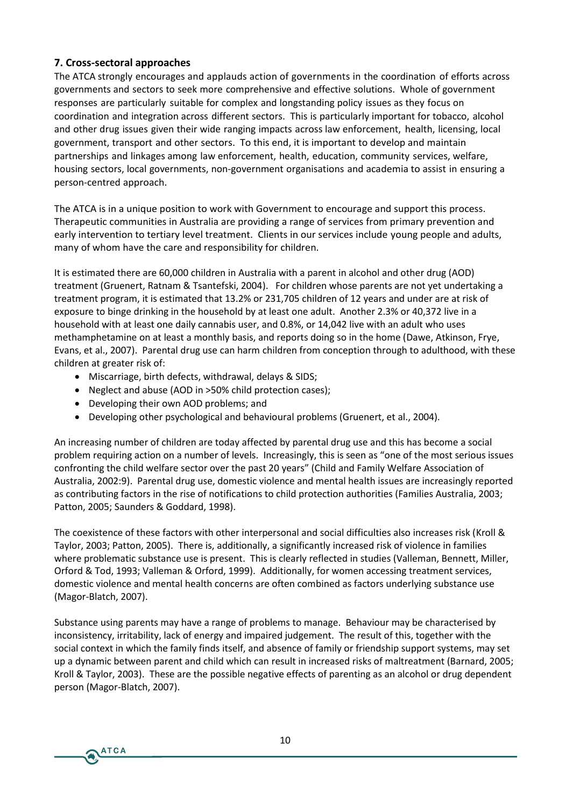# **7. Cross-sectoral approaches**

The ATCA strongly encourages and applauds action of governments in the coordination of efforts across governments and sectors to seek more comprehensive and effective solutions. Whole of government responses are particularly suitable for complex and longstanding policy issues as they focus on coordination and integration across different sectors. This is particularly important for tobacco, alcohol and other drug issues given their wide ranging impacts across law enforcement, health, licensing, local government, transport and other sectors. To this end, it is important to develop and maintain partnerships and linkages among law enforcement, health, education, community services, welfare, housing sectors, local governments, non-government organisations and academia to assist in ensuring a person-centred approach.

The ATCA is in a unique position to work with Government to encourage and support this process. Therapeutic communities in Australia are providing a range of services from primary prevention and early intervention to tertiary level treatment. Clients in our services include young people and adults, many of whom have the care and responsibility for children.

It is estimated there are 60,000 children in Australia with a parent in alcohol and other drug (AOD) treatment (Gruenert, Ratnam & Tsantefski, 2004). For children whose parents are not yet undertaking a treatment program, it is estimated that 13.2% or 231,705 children of 12 years and under are at risk of exposure to binge drinking in the household by at least one adult. Another 2.3% or 40,372 live in a household with at least one daily cannabis user, and 0.8%, or 14,042 live with an adult who uses methamphetamine on at least a monthly basis, and reports doing so in the home (Dawe, Atkinson, Frye, Evans, et al., 2007). Parental drug use can harm children from conception through to adulthood, with these children at greater risk of:

- Miscarriage, birth defects, withdrawal, delays & SIDS;
- Neglect and abuse (AOD in >50% child protection cases);
- Developing their own AOD problems; and

**ATCA** 

Developing other psychological and behavioural problems (Gruenert, et al., 2004).

An increasing number of children are today affected by parental drug use and this has become a social problem requiring action on a number of levels. Increasingly, this is seen as "one of the most serious issues confronting the child welfare sector over the past 20 years" (Child and Family Welfare Association of Australia, 2002:9). Parental drug use, domestic violence and mental health issues are increasingly reported as contributing factors in the rise of notifications to child protection authorities (Families Australia, 2003; Patton, 2005; Saunders & Goddard, 1998).

The coexistence of these factors with other interpersonal and social difficulties also increases risk (Kroll & Taylor, 2003; Patton, 2005). There is, additionally, a significantly increased risk of violence in families where problematic substance use is present. This is clearly reflected in studies (Valleman, Bennett, Miller, Orford & Tod, 1993; Valleman & Orford, 1999). Additionally, for women accessing treatment services, domestic violence and mental health concerns are often combined as factors underlying substance use (Magor-Blatch, 2007).

Substance using parents may have a range of problems to manage. Behaviour may be characterised by inconsistency, irritability, lack of energy and impaired judgement. The result of this, together with the social context in which the family finds itself, and absence of family or friendship support systems, may set up a dynamic between parent and child which can result in increased risks of maltreatment (Barnard, 2005; Kroll & Taylor, 2003). These are the possible negative effects of parenting as an alcohol or drug dependent person (Magor-Blatch, 2007).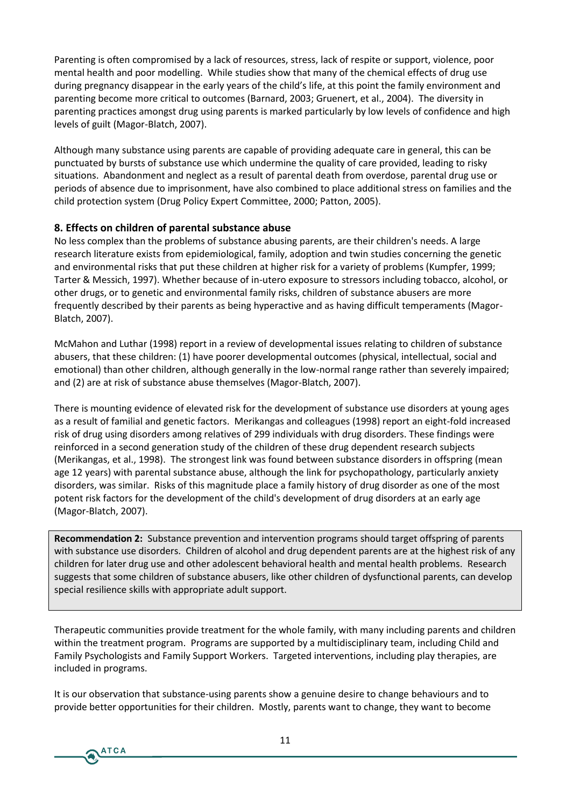Parenting is often compromised by a lack of resources, stress, lack of respite or support, violence, poor mental health and poor modelling. While studies show that many of the chemical effects of drug use during pregnancy disappear in the early years of the child's life, at this point the family environment and parenting become more critical to outcomes (Barnard, 2003; Gruenert, et al., 2004). The diversity in parenting practices amongst drug using parents is marked particularly by low levels of confidence and high levels of guilt (Magor-Blatch, 2007).

Although many substance using parents are capable of providing adequate care in general, this can be punctuated by bursts of substance use which undermine the quality of care provided, leading to risky situations. Abandonment and neglect as a result of parental death from overdose, parental drug use or periods of absence due to imprisonment, have also combined to place additional stress on families and the child protection system (Drug Policy Expert Committee, 2000; Patton, 2005).

# **8. Effects on children of parental substance abuse**

No less complex than the problems of substance abusing parents, are their children's needs. A large research literature exists from epidemiological, family, adoption and twin studies concerning the genetic and environmental risks that put these children at higher risk for a variety of problems (Kumpfer, 1999; Tarter & Messich, 1997). Whether because of in-utero exposure to stressors including tobacco, alcohol, or other drugs, or to genetic and environmental family risks, children of substance abusers are more frequently described by their parents as being hyperactive and as having difficult temperaments (Magor-Blatch, 2007).

McMahon and Luthar (1998) report in a review of developmental issues relating to children of substance abusers, that these children: (1) have poorer developmental outcomes (physical, intellectual, social and emotional) than other children, although generally in the low-normal range rather than severely impaired; and (2) are at risk of substance abuse themselves (Magor-Blatch, 2007).

There is mounting evidence of elevated risk for the development of substance use disorders at young ages as a result of familial and genetic factors. Merikangas and colleagues (1998) report an eight-fold increased risk of drug using disorders among relatives of 299 individuals with drug disorders. These findings were reinforced in a second generation study of the children of these drug dependent research subjects (Merikangas, et al., 1998). The strongest link was found between substance disorders in offspring (mean age 12 years) with parental substance abuse, although the link for psychopathology, particularly anxiety disorders, was similar. Risks of this magnitude place a family history of drug disorder as one of the most potent risk factors for the development of the child's development of drug disorders at an early age (Magor-Blatch, 2007).

**Recommendation 2:** Substance prevention and intervention programs should target offspring of parents with substance use disorders. Children of alcohol and drug dependent parents are at the highest risk of any children for later drug use and other adolescent behavioral health and mental health problems. Research suggests that some children of substance abusers, like other children of dysfunctional parents, can develop special resilience skills with appropriate adult support.

Therapeutic communities provide treatment for the whole family, with many including parents and children within the treatment program. Programs are supported by a multidisciplinary team, including Child and Family Psychologists and Family Support Workers. Targeted interventions, including play therapies, are included in programs.

It is our observation that substance-using parents show a genuine desire to change behaviours and to provide better opportunities for their children. Mostly, parents want to change, they want to become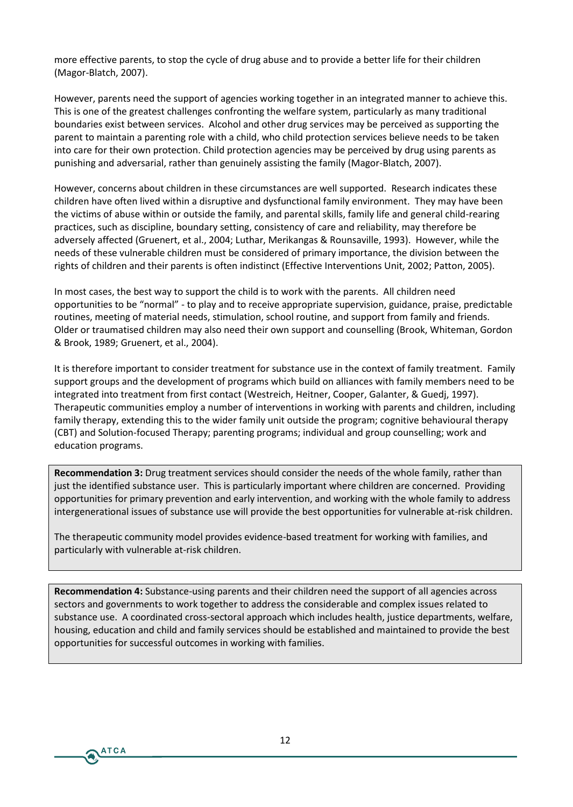more effective parents, to stop the cycle of drug abuse and to provide a better life for their children (Magor-Blatch, 2007).

However, parents need the support of agencies working together in an integrated manner to achieve this. This is one of the greatest challenges confronting the welfare system, particularly as many traditional boundaries exist between services. Alcohol and other drug services may be perceived as supporting the parent to maintain a parenting role with a child, who child protection services believe needs to be taken into care for their own protection. Child protection agencies may be perceived by drug using parents as punishing and adversarial, rather than genuinely assisting the family (Magor-Blatch, 2007).

However, concerns about children in these circumstances are well supported. Research indicates these children have often lived within a disruptive and dysfunctional family environment. They may have been the victims of abuse within or outside the family, and parental skills, family life and general child-rearing practices, such as discipline, boundary setting, consistency of care and reliability, may therefore be adversely affected (Gruenert, et al., 2004; Luthar, Merikangas & Rounsaville, 1993). However, while the needs of these vulnerable children must be considered of primary importance, the division between the rights of children and their parents is often indistinct (Effective Interventions Unit, 2002; Patton, 2005).

In most cases, the best way to support the child is to work with the parents. All children need opportunities to be "normal" - to play and to receive appropriate supervision, guidance, praise, predictable routines, meeting of material needs, stimulation, school routine, and support from family and friends. Older or traumatised children may also need their own support and counselling (Brook, Whiteman, Gordon & Brook, 1989; Gruenert, et al., 2004).

It is therefore important to consider treatment for substance use in the context of family treatment. Family support groups and the development of programs which build on alliances with family members need to be integrated into treatment from first contact (Westreich, Heitner, Cooper, Galanter, & Guedj, 1997). Therapeutic communities employ a number of interventions in working with parents and children, including family therapy, extending this to the wider family unit outside the program; cognitive behavioural therapy (CBT) and Solution-focused Therapy; parenting programs; individual and group counselling; work and education programs.

**Recommendation 3:** Drug treatment services should consider the needs of the whole family, rather than just the identified substance user. This is particularly important where children are concerned. Providing opportunities for primary prevention and early intervention, and working with the whole family to address intergenerational issues of substance use will provide the best opportunities for vulnerable at-risk children.

The therapeutic community model provides evidence-based treatment for working with families, and particularly with vulnerable at-risk children.

**Recommendation 4:** Substance-using parents and their children need the support of all agencies across sectors and governments to work together to address the considerable and complex issues related to substance use. A coordinated cross-sectoral approach which includes health, justice departments, welfare, housing, education and child and family services should be established and maintained to provide the best opportunities for successful outcomes in working with families.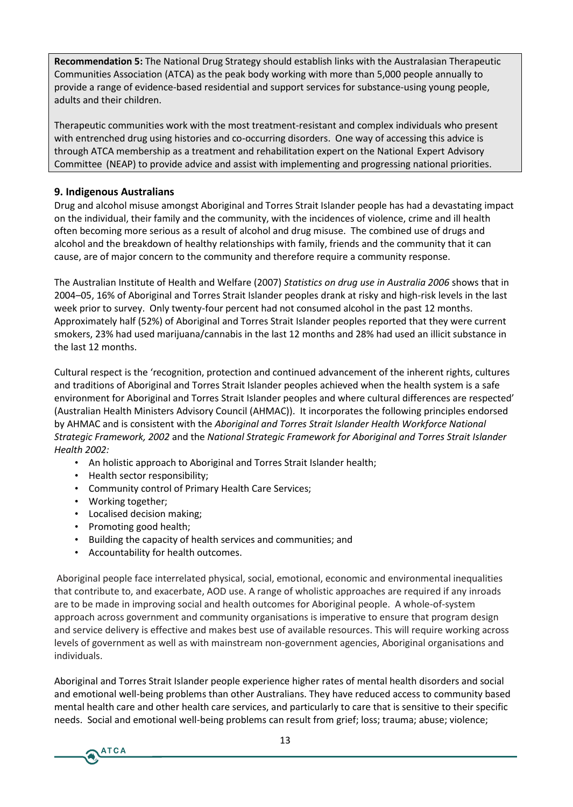**Recommendation 5:** The National Drug Strategy should establish links with the Australasian Therapeutic Communities Association (ATCA) as the peak body working with more than 5,000 people annually to provide a range of evidence-based residential and support services for substance-using young people, adults and their children.

Therapeutic communities work with the most treatment-resistant and complex individuals who present with entrenched drug using histories and co-occurring disorders. One way of accessing this advice is through ATCA membership as a treatment and rehabilitation expert on the National Expert Advisory Committee (NEAP) to provide advice and assist with implementing and progressing national priorities.

# **9. Indigenous Australians**

Drug and alcohol misuse amongst Aboriginal and Torres Strait Islander people has had a devastating impact on the individual, their family and the community, with the incidences of violence, crime and ill health often becoming more serious as a result of alcohol and drug misuse. The combined use of drugs and alcohol and the breakdown of healthy relationships with family, friends and the community that it can cause, are of major concern to the community and therefore require a community response.

The Australian Institute of Health and Welfare (2007) *Statistics on drug use in Australia 2006* shows that in 2004–05, 16% of Aboriginal and Torres Strait Islander peoples drank at risky and high-risk levels in the last week prior to survey. Only twenty-four percent had not consumed alcohol in the past 12 months. Approximately half (52%) of Aboriginal and Torres Strait Islander peoples reported that they were current smokers, 23% had used marijuana/cannabis in the last 12 months and 28% had used an illicit substance in the last 12 months.

Cultural respect is the 'recognition, protection and continued advancement of the inherent rights, cultures and traditions of Aboriginal and Torres Strait Islander peoples achieved when the health system is a safe environment for Aboriginal and Torres Strait Islander peoples and where cultural differences are respected' (Australian Health Ministers Advisory Council (AHMAC)). It incorporates the following principles endorsed by AHMAC and is consistent with the *Aboriginal and Torres Strait Islander Health Workforce National Strategic Framework, 2002* and the *National Strategic Framework for Aboriginal and Torres Strait Islander Health 2002:*

- An holistic approach to Aboriginal and Torres Strait Islander health;
- Health sector responsibility;
- Community control of Primary Health Care Services;
- Working together;
- Localised decision making;
- Promoting good health;
- Building the capacity of health services and communities; and
- Accountability for health outcomes.

Aboriginal people face interrelated physical, social, emotional, economic and environmental inequalities that contribute to, and exacerbate, AOD use. A range of wholistic approaches are required if any inroads are to be made in improving social and health outcomes for Aboriginal people. A whole-of-system approach across government and community organisations is imperative to ensure that program design and service delivery is effective and makes best use of available resources. This will require working across levels of government as well as with mainstream non-government agencies, Aboriginal organisations and individuals.

Aboriginal and Torres Strait Islander people experience higher rates of mental health disorders and social and emotional well-being problems than other Australians. They have reduced access to community based mental health care and other health care services, and particularly to care that is sensitive to their specific needs. Social and emotional well-being problems can result from grief; loss; trauma; abuse; violence;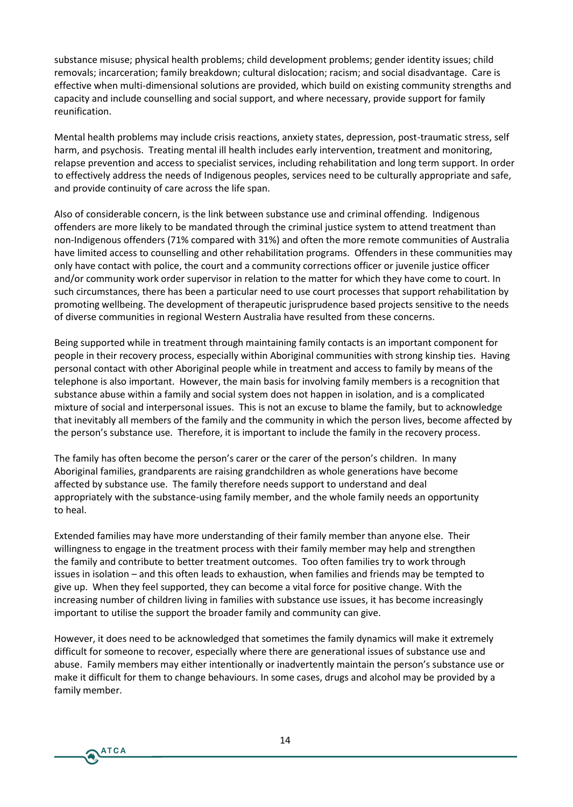substance misuse; physical health problems; child development problems; gender identity issues; child removals; incarceration; family breakdown; cultural dislocation; racism; and social disadvantage. Care is effective when multi-dimensional solutions are provided, which build on existing community strengths and capacity and include counselling and social support, and where necessary, provide support for family reunification.

Mental health problems may include crisis reactions, anxiety states, depression, post-traumatic stress, self harm, and psychosis. Treating mental ill health includes early intervention, treatment and monitoring, relapse prevention and access to specialist services, including rehabilitation and long term support. In order to effectively address the needs of Indigenous peoples, services need to be culturally appropriate and safe, and provide continuity of care across the life span.

Also of considerable concern, is the link between substance use and criminal offending. Indigenous offenders are more likely to be mandated through the criminal justice system to attend treatment than non-Indigenous offenders (71% compared with 31%) and often the more remote communities of Australia have limited access to counselling and other rehabilitation programs. Offenders in these communities may only have contact with police, the court and a community corrections officer or juvenile justice officer and/or community work order supervisor in relation to the matter for which they have come to court. In such circumstances, there has been a particular need to use court processes that support rehabilitation by promoting wellbeing. The development of therapeutic jurisprudence based projects sensitive to the needs of diverse communities in regional Western Australia have resulted from these concerns.

Being supported while in treatment through maintaining family contacts is an important component for people in their recovery process, especially within Aboriginal communities with strong kinship ties. Having personal contact with other Aboriginal people while in treatment and access to family by means of the telephone is also important. However, the main basis for involving family members is a recognition that substance abuse within a family and social system does not happen in isolation, and is a complicated mixture of social and interpersonal issues. This is not an excuse to blame the family, but to acknowledge that inevitably all members of the family and the community in which the person lives, become affected by the person's substance use. Therefore, it is important to include the family in the recovery process.

The family has often become the person's carer or the carer of the person's children. In many Aboriginal families, grandparents are raising grandchildren as whole generations have become affected by substance use. The family therefore needs support to understand and deal appropriately with the substance-using family member, and the whole family needs an opportunity to heal.

Extended families may have more understanding of their family member than anyone else. Their willingness to engage in the treatment process with their family member may help and strengthen the family and contribute to better treatment outcomes. Too often families try to work through issues in isolation – and this often leads to exhaustion, when families and friends may be tempted to give up. When they feel supported, they can become a vital force for positive change. With the increasing number of children living in families with substance use issues, it has become increasingly important to utilise the support the broader family and community can give.

However, it does need to be acknowledged that sometimes the family dynamics will make it extremely difficult for someone to recover, especially where there are generational issues of substance use and abuse. Family members may either intentionally or inadvertently maintain the person's substance use or make it difficult for them to change behaviours. In some cases, drugs and alcohol may be provided by a family member.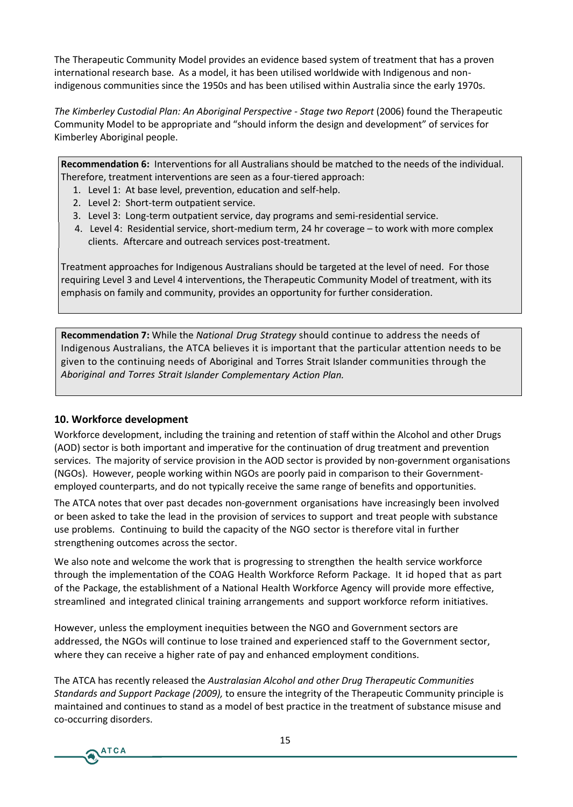The Therapeutic Community Model provides an evidence based system of treatment that has a proven international research base. As a model, it has been utilised worldwide with Indigenous and nonindigenous communities since the 1950s and has been utilised within Australia since the early 1970s.

*The Kimberley Custodial Plan: An Aboriginal Perspective - Stage two Report* (2006) found the Therapeutic Community Model to be appropriate and "should inform the design and development" of services for Kimberley Aboriginal people.

**Recommendation 6:** Interventions for all Australians should be matched to the needs of the individual. Therefore, treatment interventions are seen as a four-tiered approach:

- 1. Level 1: At base level, prevention, education and self-help.
- 2. Level 2: Short-term outpatient service.
- 3. Level 3: Long-term outpatient service, day programs and semi-residential service.
- 4. Level 4: Residential service, short-medium term, 24 hr coverage to work with more complex clients. Aftercare and outreach services post-treatment.

Treatment approaches for Indigenous Australians should be targeted at the level of need. For those requiring Level 3 and Level 4 interventions, the Therapeutic Community Model of treatment, with its emphasis on family and community, provides an opportunity for further consideration.

**Recommendation 7:** While the *National Drug Strategy* should continue to address the needs of Indigenous Australians, the ATCA believes it is important that the particular attention needs to be given to the continuing needs of Aboriginal and Torres Strait Islander communities through the *Aboriginal and Torres Strait Islander Complementary Action Plan.*

#### **10. Workforce development**

Workforce development, including the training and retention of staff within the Alcohol and other Drugs (AOD) sector is both important and imperative for the continuation of drug treatment and prevention services. The majority of service provision in the AOD sector is provided by non-government organisations (NGOs). However, people working within NGOs are poorly paid in comparison to their Governmentemployed counterparts, and do not typically receive the same range of benefits and opportunities.

The ATCA notes that over past decades non-government organisations have increasingly been involved or been asked to take the lead in the provision of services to support and treat people with substance use problems. Continuing to build the capacity of the NGO sector is therefore vital in further strengthening outcomes across the sector.

We also note and welcome the work that is progressing to strengthen the health service workforce through the implementation of the COAG Health Workforce Reform Package. It id hoped that as part of the Package, the establishment of a National Health Workforce Agency will provide more effective, streamlined and integrated clinical training arrangements and support workforce reform initiatives.

However, unless the employment inequities between the NGO and Government sectors are addressed, the NGOs will continue to lose trained and experienced staff to the Government sector, where they can receive a higher rate of pay and enhanced employment conditions.

The ATCA has recently released the *Australasian Alcohol and other Drug Therapeutic Communities Standards and Support Package (2009),* to ensure the integrity of the Therapeutic Community principle is maintained and continues to stand as a model of best practice in the treatment of substance misuse and co-occurring disorders.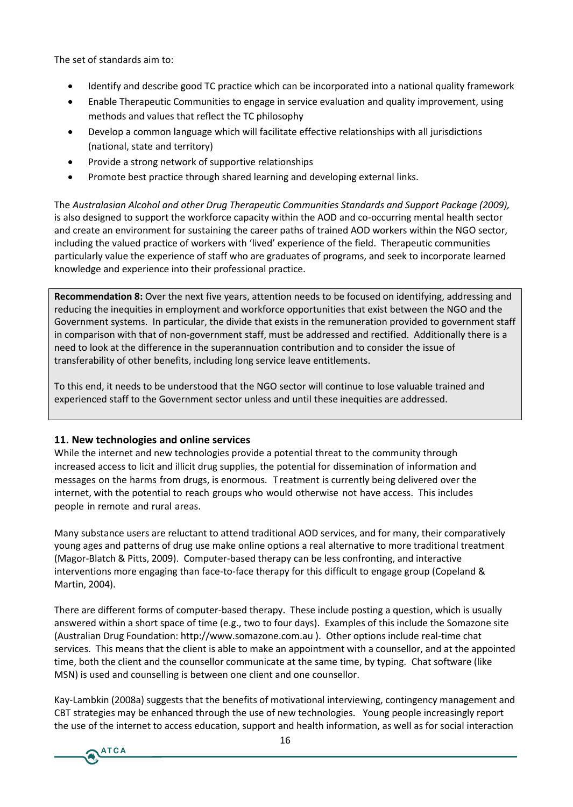The set of standards aim to:

- ð· Identify and describe good TCe prracortipooerawthe dchntoana bnational qual
- ð· Enable Therapeutic Communities to engage in service evaluation methods and values that reflect the TC philosophy
- ð· Develop a common language which widhsfacpisitvateheeffle cutrivsedriet adtr (national, state and territory)
- ð· Provide a strong network of supportive relationships
- ð. Promote best practice through shared learning and developing e

TheAustralasian Alcohol and other Druggs TShteamadpærudtsica GootmSmoppotrt Packa isals o desigsnuepop oto tthe workforce capacity -owo thuim inhage mAeOnDhaalmhde aculd his e and create an envisuos trainmitro authorer paths of trained AOD workers within inclundg tha eluved practice of wioveledox pse wiethold of the field. Therapeutic c particularly value the experience of staff who are graduates of progi knowledge and experience intocthœeir professional pra

RecommendBaChivoer the next five years, attention needs to be focused reducing neho aities in employment and workforce opportunities that existed that the  $\kappa$ Government slynstpeanntsiculdain, id the ethat exists in the remuneration provide in comparison withgownernomiennot aff, must be addressed and rectified need to look at the difference in the superannutantions sourentributtion and transferability of other benefits, including long service leave entitle

To this end, it needs to be understood that the NGO sector will cont experienced staff to the Governmenthessese tionequalities and audid inlessed.

11. New technologies and online services While the internet and new technologies provide a potential threat to increased access to licit antohopoloidenc**ial clussee nosmetpion** himenoficanand messagesontheharmfrsom drugs, is enoTreantonoesniscurrently dbeeling overdthe internet, with ntihael npleadetoeghoup wshow oldotherwni**se** havea **c**ess. Thi**b**luidse s peopiheremotaned ruraal reas.

Many subceeta sers are reluctant to attend traditional AOD services, and for many, the many subset of  $m$ young ages and patterns of drug use make online options a real alte  $(MaqB$  atch & Pitt $C$ <sub>p</sub> $\Omega$  $DQ$  $B$  $B$  as ed therapy less confronting, and interactive interventions more engtabion the natage for this difficult to engage group Martin, 2004).

There are different forbmass cod tho entimal poster include posting a quadisytion, whi answered within a short space of timEexa(en.gol.e.stwo to tthoisfounclouate the Son (Australian Drug [Foundation: http:](http://www.somazone.com.au)//wOwthwe.nsom.phizon.nsein**t.com.need.ceu**.hr.). Australian servicTehsis means that thetochimenkte iss nable pointment with a counsellor, a time, both the client and the counsellor communQ bates af twhæres a miketir MSN) is used and counselling is between one client and one counsel

Ka $\mu$ ambkin  $0$ 200 $\alpha$  gests that the benefits of motivational interviewing, CBT strategies may be enhanced through Ythen ugse ecofphee wintere has oning by iere. the use of the internet to access educoartmioantjosnup apso wheal hobish of a lit bo ionifal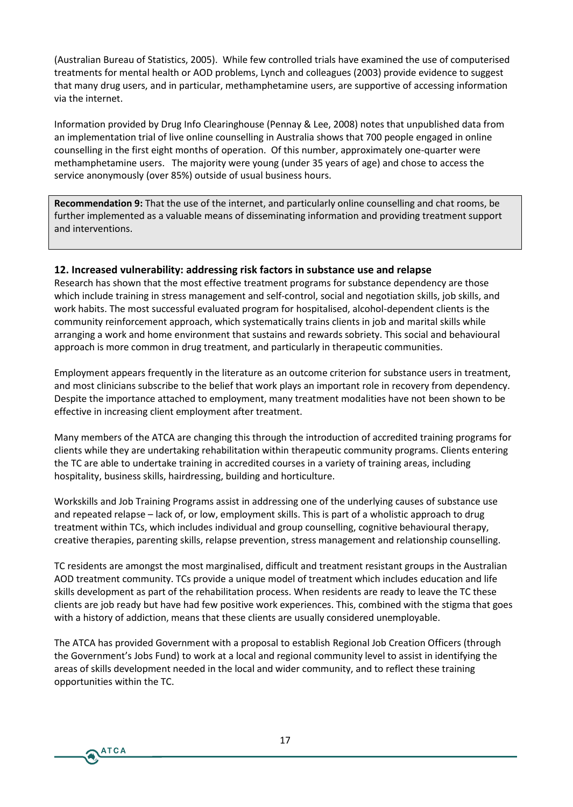(Australian Bureau of Statistics, 2005). While few controlled trials have examined the use of computerised treatments for mental health or AOD problems, Lynch and colleagues (2003) provide evidence to suggest that many drug users, and in particular, methamphetamine users, are supportive of accessing information via the internet.

Information provided by Drug Info Clearinghouse (Pennay & Lee, 2008) notes that unpublished data from an implementation trial of live online counselling in Australia shows that 700 people engaged in online counselling in the first eight months of operation. Of this number, approximately one-quarter were methamphetamine users. The majority were young (under 35 years of age) and chose to access the service anonymously (over 85%) outside of usual business hours.

**Recommendation 9:** That the use of the internet, and particularly online counselling and chat rooms, be further implemented as a valuable means of disseminating information and providing treatment support and interventions.

#### **12. Increased vulnerability: addressing risk factors in substance use and relapse**

Research has shown that the most effective treatment programs for substance dependency are those which include training in stress management and self-control, social and negotiation skills, job skills, and work habits. The most successful evaluated program for hospitalised, alcohol-dependent clients is the community reinforcement approach, which systematically trains clients in job and marital skills while arranging a work and home environment that sustains and rewards sobriety. This social and behavioural approach is more common in drug treatment, and particularly in therapeutic communities.

Employment appears frequently in the literature as an outcome criterion for substance users in treatment, and most clinicians subscribe to the belief that work plays an important role in recovery from dependency. Despite the importance attached to employment, many treatment modalities have not been shown to be effective in increasing client employment after treatment.

Many members of the ATCA are changing this through the introduction of accredited training programs for clients while they are undertaking rehabilitation within therapeutic community programs. Clients entering the TC are able to undertake training in accredited courses in a variety of training areas, including hospitality, business skills, hairdressing, building and horticulture.

Workskills and Job Training Programs assist in addressing one of the underlying causes of substance use and repeated relapse – lack of, or low, employment skills. This is part of a wholistic approach to drug treatment within TCs, which includes individual and group counselling, cognitive behavioural therapy, creative therapies, parenting skills, relapse prevention, stress management and relationship counselling.

TC residents are amongst the most marginalised, difficult and treatment resistant groups in the Australian AOD treatment community. TCs provide a unique model of treatment which includes education and life skills development as part of the rehabilitation process. When residents are ready to leave the TC these clients are job ready but have had few positive work experiences. This, combined with the stigma that goes with a history of addiction, means that these clients are usually considered unemployable.

The ATCA has provided Government with a proposal to establish Regional Job Creation Officers (through the Government's Jobs Fund) to work at a local and regional community level to assist in identifying the areas of skills development needed in the local and wider community, and to reflect these training opportunities within the TC.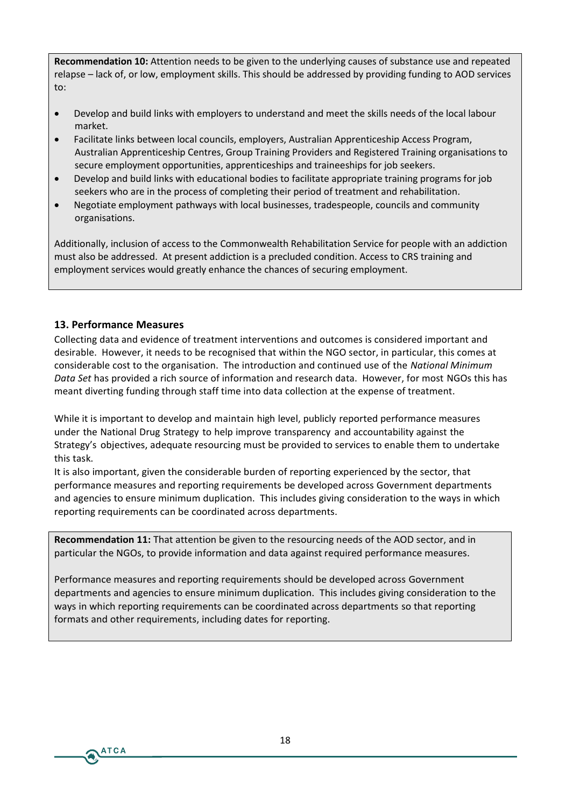**Recommendation 10:** Attention needs to be given to the underlying causes of substance use and repeated relapse – lack of, or low, employment skills. This should be addressed by providing funding to AOD services to:

- Develop and build links with employers to understand and meet the skills needs of the local labour market.
- Facilitate links between local councils, employers, Australian Apprenticeship Access Program, Australian Apprenticeship Centres, Group Training Providers and Registered Training organisations to secure employment opportunities, apprenticeships and traineeships for job seekers.
- Develop and build links with educational bodies to facilitate appropriate training programs for job seekers who are in the process of completing their period of treatment and rehabilitation.
- Negotiate employment pathways with local businesses, tradespeople, councils and community organisations.

Additionally, inclusion of access to the Commonwealth Rehabilitation Service for people with an addiction must also be addressed. At present addiction is a precluded condition. Access to CRS training and employment services would greatly enhance the chances of securing employment.

# **13. Performance Measures**

**ATCA** 

Collecting data and evidence of treatment interventions and outcomes is considered important and desirable. However, it needs to be recognised that within the NGO sector, in particular, this comes at considerable cost to the organisation. The introduction and continued use of the *National Minimum Data Set* has provided a rich source of information and research data. However, for most NGOs this has meant diverting funding through staff time into data collection at the expense of treatment.

While it is important to develop and maintain high level, publicly reported performance measures under the National Drug Strategy to help improve transparency and accountability against the Strategy's objectives, adequate resourcing must be provided to services to enable them to undertake this task.

It is also important, given the considerable burden of reporting experienced by the sector, that performance measures and reporting requirements be developed across Government departments and agencies to ensure minimum duplication. This includes giving consideration to the ways in which reporting requirements can be coordinated across departments.

**Recommendation 11:** That attention be given to the resourcing needs of the AOD sector, and in particular the NGOs, to provide information and data against required performance measures.

Performance measures and reporting requirements should be developed across Government departments and agencies to ensure minimum duplication. This includes giving consideration to the ways in which reporting requirements can be coordinated across departments so that reporting formats and other requirements, including dates for reporting.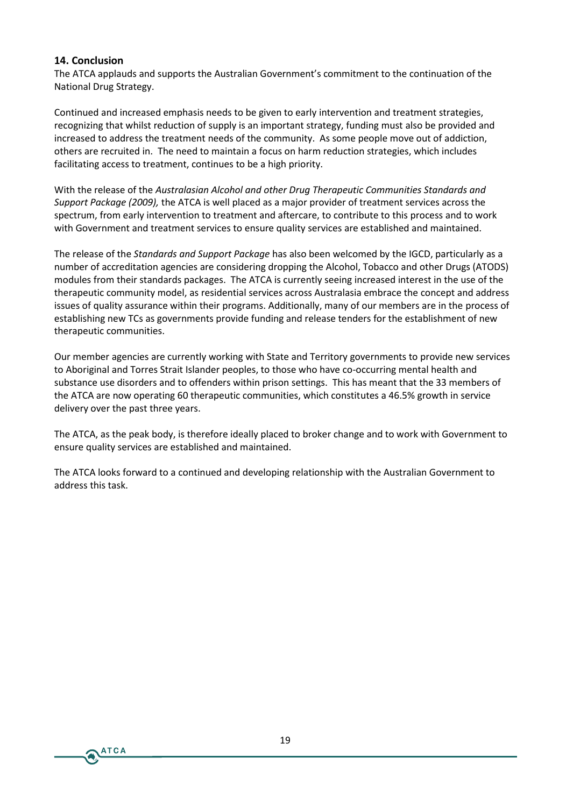# **14. Conclusion**

**ATCA** 

The ATCA applauds and supports the Australian Government's commitment to the continuation of the National Drug Strategy.

Continued and increased emphasis needs to be given to early intervention and treatment strategies, recognizing that whilst reduction of supply is an important strategy, funding must also be provided and increased to address the treatment needs of the community. As some people move out of addiction, others are recruited in. The need to maintain a focus on harm reduction strategies, which includes facilitating access to treatment, continues to be a high priority.

With the release of the *Australasian Alcohol and other Drug Therapeutic Communities Standards and Support Package (2009),* the ATCA is well placed as a major provider of treatment services across the spectrum, from early intervention to treatment and aftercare, to contribute to this process and to work with Government and treatment services to ensure quality services are established and maintained.

The release of the *Standards and Support Package* has also been welcomed by the IGCD, particularly as a number of accreditation agencies are considering dropping the Alcohol, Tobacco and other Drugs (ATODS) modules from their standards packages. The ATCA is currently seeing increased interest in the use of the therapeutic community model, as residential services across Australasia embrace the concept and address issues of quality assurance within their programs. Additionally, many of our members are in the process of establishing new TCs as governments provide funding and release tenders for the establishment of new therapeutic communities.

Our member agencies are currently working with State and Territory governments to provide new services to Aboriginal and Torres Strait Islander peoples, to those who have co-occurring mental health and substance use disorders and to offenders within prison settings. This has meant that the 33 members of the ATCA are now operating 60 therapeutic communities, which constitutes a 46.5% growth in service delivery over the past three years.

The ATCA, as the peak body, is therefore ideally placed to broker change and to work with Government to ensure quality services are established and maintained.

The ATCA looks forward to a continued and developing relationship with the Australian Government to address this task.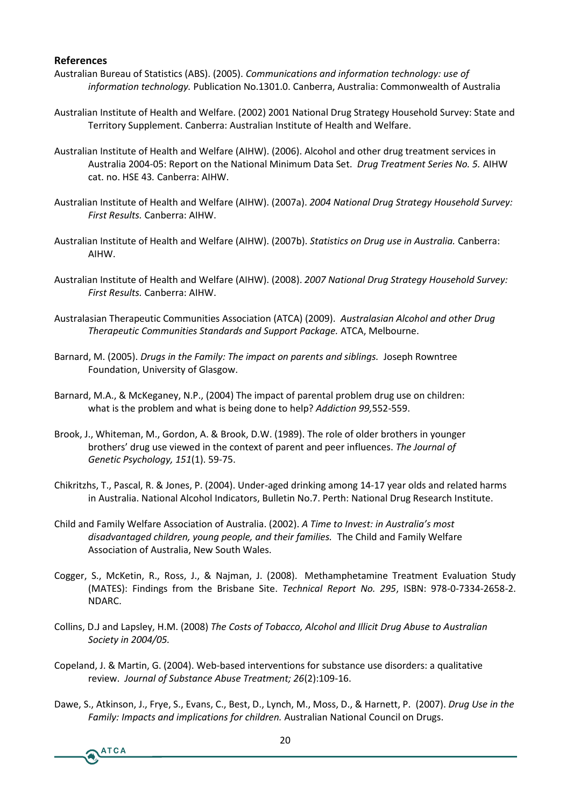#### **References**

- Australian Bureau of Statistics (ABS). (2005). *Communications and information technology: use of information technology.* Publication No.1301.0. Canberra, Australia: Commonwealth of Australia
- Australian Institute of Health and Welfare. (2002) 2001 National Drug Strategy Household Survey: State and Territory Supplement. Canberra: Australian Institute of Health and Welfare.
- Australian Institute of Health and Welfare (AIHW). (2006). Alcohol and other drug treatment services in Australia 2004-05: Report on the National Minimum Data Set. *Drug Treatment Series No. 5.* AIHW cat. no. HSE 43*.* Canberra: AIHW.
- Australian Institute of Health and Welfare (AIHW). (2007a). *2004 National Drug Strategy Household Survey: First Results.* Canberra: AIHW.
- Australian Institute of Health and Welfare (AIHW). (2007b). *Statistics on Drug use in Australia.* Canberra: AIHW.
- Australian Institute of Health and Welfare (AIHW). (2008). *2007 National Drug Strategy Household Survey: First Results.* Canberra: AIHW.
- Australasian Therapeutic Communities Association (ATCA) (2009). *Australasian Alcohol and other Drug Therapeutic Communities Standards and Support Package.* ATCA, Melbourne.
- Barnard, M. (2005). *Drugs in the Family: The impact on parents and siblings.* Joseph Rowntree Foundation, University of Glasgow.
- Barnard, M.A., & McKeganey, N.P., (2004) The impact of parental problem drug use on children: what is the problem and what is being done to help? *Addiction 99,*552-559.
- Brook, J., Whiteman, M., Gordon, A. & Brook, D.W. (1989). The role of older brothers in younger brothers' drug use viewed in the context of parent and peer influences. *The Journal of Genetic Psychology, 151*(1). 59-75.
- Chikritzhs, T., Pascal, R. & Jones, P. (2004). Under-aged drinking among 14-17 year olds and related harms in Australia. National Alcohol Indicators, Bulletin No.7. Perth: National Drug Research Institute.
- Child and Family Welfare Association of Australia. (2002). *A Time to Invest: in Australia's most disadvantaged children, young people, and their families.* The Child and Family Welfare Association of Australia, New South Wales.
- Cogger, S., McKetin, R., Ross, J., & Najman, J. (2008). Methamphetamine Treatment Evaluation Study (MATES): Findings from the Brisbane Site. *Technical Report No. 295*, ISBN: 978-0-7334-2658-2. NDARC.
- Collins, D.J and Lapsley, H.M. (2008) *The Costs of Tobacco, Alcohol and Illicit Drug Abuse to Australian Society in 2004/05.*
- Copeland, J. & Martin, G. (2004). Web-based interventions for substance use disorders: a qualitative review. *Journal of Substance Abuse Treatment; 26*(2):109-16.
- Dawe, S., Atkinson, J., Frye, S., Evans, C., Best, D., Lynch, M., Moss, D., & Harnett, P. (2007). *Drug Use in the Family: Impacts and implications for children.* Australian National Council on Drugs.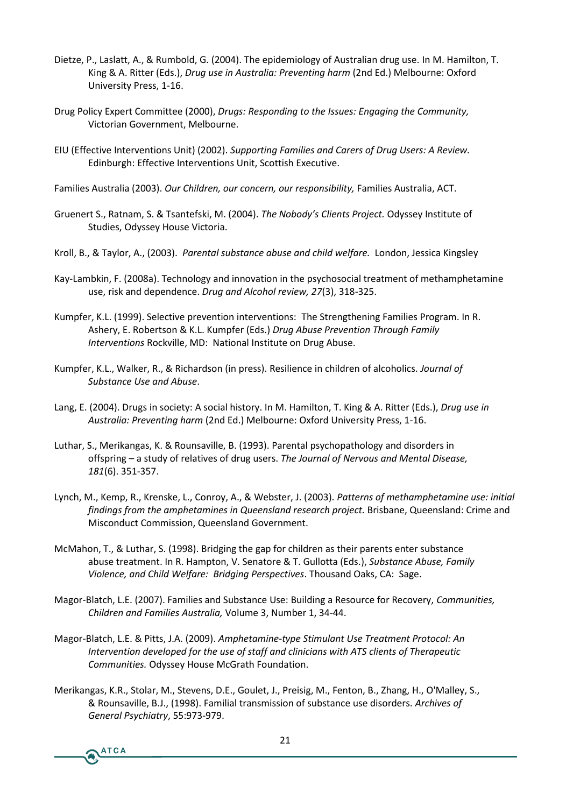- Dietze, P., Laslatt, A., & Rumbold, G. (2004). The epidemiology of Australian drug use. In M. Hamilton, T. King & A. Ritter (Eds.), *Drug use in Australia: Preventing harm* (2nd Ed.) Melbourne: Oxford University Press, 1-16.
- Drug Policy Expert Committee (2000), *Drugs: Responding to the Issues: Engaging the Community,* Victorian Government, Melbourne.
- EIU (Effective Interventions Unit) (2002). *Supporting Families and Carers of Drug Users: A Review.* Edinburgh: Effective Interventions Unit, Scottish Executive.
- Families Australia (2003). *Our Children, our concern, our responsibility,* Families Australia, ACT.
- Gruenert S., Ratnam, S. & Tsantefski, M. (2004). *The Nobody's Clients Project.* Odyssey Institute of Studies, Odyssey House Victoria.
- Kroll, B., & Taylor, A., (2003). *Parental substance abuse and child welfare.* London, Jessica Kingsley
- Kay-Lambkin, F. (2008a). Technology and innovation in the psychosocial treatment of methamphetamine use, risk and dependence. *Drug and Alcohol review, 27*(3), 318-325.
- Kumpfer, K.L. (1999). Selective prevention interventions: The Strengthening Families Program. In R. Ashery, E. Robertson & K.L. Kumpfer (Eds.) *Drug Abuse Prevention Through Family Interventions* Rockville, MD: National Institute on Drug Abuse.
- Kumpfer, K.L., Walker, R., & Richardson (in press). Resilience in children of alcoholics. *Journal of Substance Use and Abuse*.
- Lang, E. (2004). Drugs in society: A social history. In M. Hamilton, T. King & A. Ritter (Eds.), *Drug use in Australia: Preventing harm* (2nd Ed.) Melbourne: Oxford University Press, 1-16.
- Luthar, S., Merikangas, K. & Rounsaville, B. (1993). Parental psychopathology and disorders in offspring – a study of relatives of drug users. *The Journal of Nervous and Mental Disease, 181*(6). 351-357.
- Lynch, M., Kemp, R., Krenske, L., Conroy, A., & Webster, J. (2003). *Patterns of methamphetamine use: initial findings from the amphetamines in Queensland research project.* Brisbane, Queensland: Crime and Misconduct Commission, Queensland Government.
- McMahon, T., & Luthar, S. (1998). Bridging the gap for children as their parents enter substance abuse treatment. In R. Hampton, V. Senatore & T. Gullotta (Eds.), *Substance Abuse, Family Violence, and Child Welfare: Bridging Perspectives*. Thousand Oaks, CA: Sage.
- Magor-Blatch, L.E. (2007). Families and Substance Use: Building a Resource for Recovery, *Communities, Children and Families Australia,* Volume 3, Number 1, 34-44.
- Magor-Blatch, L.E. & Pitts, J.A. (2009). *Amphetamine-type Stimulant Use Treatment Protocol: An Intervention developed for the use of staff and clinicians with ATS clients of Therapeutic Communities.* Odyssey House McGrath Foundation.
- Merikangas, K.R., Stolar, M., Stevens, D.E., Goulet, J., Preisig, M., Fenton, B., Zhang, H., O'Malley, S., & Rounsaville, B.J., (1998). Familial transmission of substance use disorders. *Archives of General Psychiatry*, 55:973-979.

**ATCA**